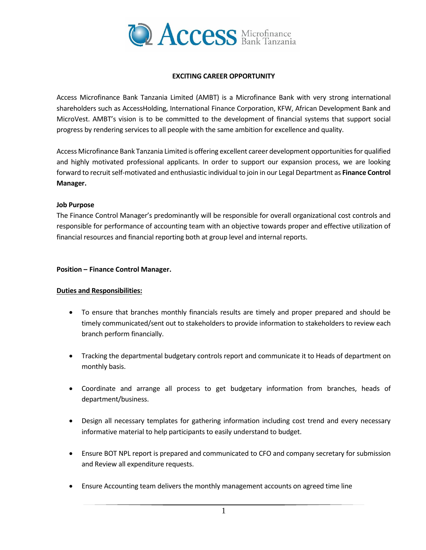

## **EXCITING CAREER OPPORTUNITY**

Access Microfinance Bank Tanzania Limited (AMBT) is a Microfinance Bank with very strong international shareholders such as AccessHolding, International Finance Corporation, KFW, African Development Bank and MicroVest. AMBT's vision is to be committed to the development of financial systems that support social progress by rendering services to all people with the same ambition for excellence and quality.

Access Microfinance Bank Tanzania Limited is offering excellent career development opportunities for qualified and highly motivated professional applicants. In order to support our expansion process, we are looking forward to recruit self-motivated and enthusiastic individual to join in our Legal Department as **Finance Control Manager.**

## **Job Purpose**

The Finance Control Manager's predominantly will be responsible for overall organizational cost controls and responsible for performance of accounting team with an objective towards proper and effective utilization of financial resources and financial reporting both at group level and internal reports.

#### **Position – Finance Control Manager.**

## **Duties and Responsibilities:**

- To ensure that branches monthly financials results are timely and proper prepared and should be timely communicated/sent out to stakeholders to provide information to stakeholders to review each branch perform financially.
- Tracking the departmental budgetary controls report and communicate it to Heads of department on monthly basis.
- Coordinate and arrange all process to get budgetary information from branches, heads of department/business.
- Design all necessary templates for gathering information including cost trend and every necessary informative material to help participants to easily understand to budget.
- Ensure BOT NPL report is prepared and communicated to CFO and company secretary for submission and Review all expenditure requests.
- Ensure Accounting team delivers the monthly management accounts on agreed time line